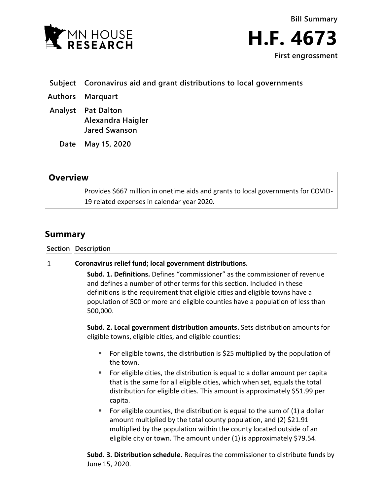



- **Subject Coronavirus aid and grant distributions to local governments**
- **Authors Marquart**
- **Analyst Pat Dalton Alexandra Haigler Jared Swanson**
	- **Date May 15, 2020**

## **Overview**

Provides \$667 million in onetime aids and grants to local governments for COVID-19 related expenses in calendar year 2020.

## **Summary**

**Section Description**

## **Coronavirus relief fund; local government distributions.**  $\mathbf{1}$

**Subd. 1. Definitions.** Defines "commissioner" as the commissioner of revenue and defines a number of other terms for this section. Included in these definitions is the requirement that eligible cities and eligible towns have a population of 500 or more and eligible counties have a population of less than 500,000.

**Subd. 2. Local government distribution amounts.** Sets distribution amounts for eligible towns, eligible cities, and eligible counties:

- For eligible towns, the distribution is \$25 multiplied by the population of the town.
- For eligible cities, the distribution is equal to a dollar amount per capita that is the same for all eligible cities, which when set, equals the total distribution for eligible cities. This amount is approximately \$51.99 per capita.
- For eligible counties, the distribution is equal to the sum of  $(1)$  a dollar amount multiplied by the total county population, and (2) \$21.91 multiplied by the population within the county located outside of an eligible city or town. The amount under (1) is approximately \$79.54.

**Subd. 3. Distribution schedule.** Requires the commissioner to distribute funds by June 15, 2020.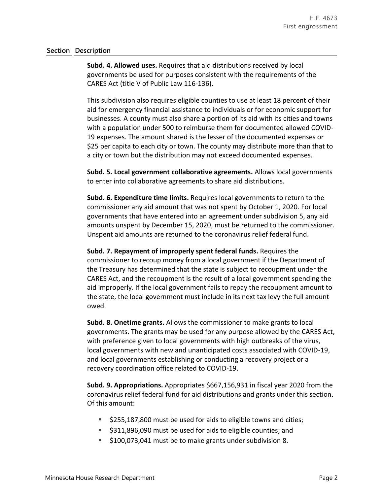## **Section Description**

**Subd. 4. Allowed uses.** Requires that aid distributions received by local governments be used for purposes consistent with the requirements of the CARES Act (title V of Public Law 116-136).

This subdivision also requires eligible counties to use at least 18 percent of their aid for emergency financial assistance to individuals or for economic support for businesses. A county must also share a portion of its aid with its cities and towns with a population under 500 to reimburse them for documented allowed COVID-19 expenses. The amount shared is the lesser of the documented expenses or \$25 per capita to each city or town. The county may distribute more than that to a city or town but the distribution may not exceed documented expenses.

**Subd. 5. Local government collaborative agreements.** Allows local governments to enter into collaborative agreements to share aid distributions.

**Subd. 6. Expenditure time limits.** Requires local governments to return to the commissioner any aid amount that was not spent by October 1, 2020. For local governments that have entered into an agreement under subdivision 5, any aid amounts unspent by December 15, 2020, must be returned to the commissioner. Unspent aid amounts are returned to the coronavirus relief federal fund.

**Subd. 7. Repayment of improperly spent federal funds.** Requires the commissioner to recoup money from a local government if the Department of the Treasury has determined that the state is subject to recoupment under the CARES Act, and the recoupment is the result of a local government spending the aid improperly. If the local government fails to repay the recoupment amount to the state, the local government must include in its next tax levy the full amount owed.

**Subd. 8. Onetime grants.** Allows the commissioner to make grants to local governments. The grants may be used for any purpose allowed by the CARES Act, with preference given to local governments with high outbreaks of the virus, local governments with new and unanticipated costs associated with COVID-19, and local governments establishing or conducting a recovery project or a recovery coordination office related to COVID-19.

**Subd. 9. Appropriations.** Appropriates \$667,156,931 in fiscal year 2020 from the coronavirus relief federal fund for aid distributions and grants under this section. Of this amount:

- $\approx$  \$255,187,800 must be used for aids to eligible towns and cities;
- **5311,896,090 must be used for aids to eligible counties; and**
- **5100,073,041 must be to make grants under subdivision 8.**